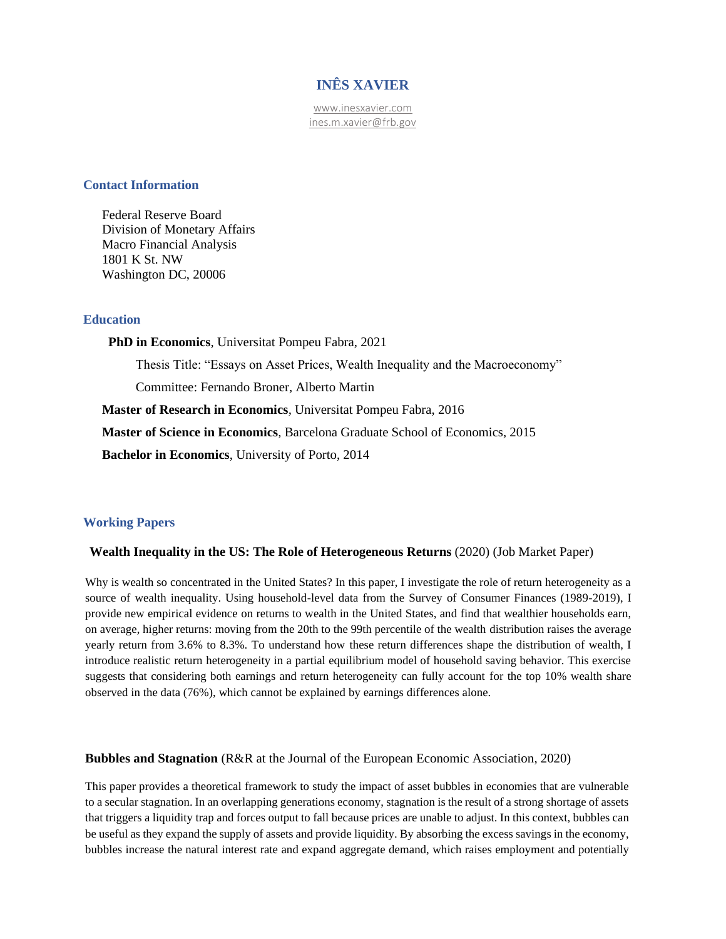# **INÊS XAVIER**

[www.inesxavier.com](http://www.inesxavier.com/) ines.m.xavier@frb.gov

#### **Contact Information**

Federal Reserve Board Division of Monetary Affairs Macro Financial Analysis 1801 K St. NW Washington DC, 20006

## **Education**

**PhD in Economics***,* Universitat Pompeu Fabra, 2021 Thesis Title: "Essays on Asset Prices, Wealth Inequality and the Macroeconomy" Committee: Fernando Broner, Alberto Martin **Master of Research in Economics***,* Universitat Pompeu Fabra, 2016 **Master of Science in Economics***,* Barcelona Graduate School of Economics, 2015 **Bachelor in Economics**, University of Porto, 2014

### **Working Papers**

#### **Wealth Inequality in the US: The Role of Heterogeneous Returns** (2020) (Job Market Paper)

Why is wealth so concentrated in the United States? In this paper, I investigate the role of return heterogeneity as a source of wealth inequality. Using household-level data from the Survey of Consumer Finances (1989-2019), I provide new empirical evidence on returns to wealth in the United States, and find that wealthier households earn, on average, higher returns: moving from the 20th to the 99th percentile of the wealth distribution raises the average yearly return from 3.6% to 8.3%. To understand how these return differences shape the distribution of wealth, I introduce realistic return heterogeneity in a partial equilibrium model of household saving behavior. This exercise suggests that considering both earnings and return heterogeneity can fully account for the top 10% wealth share observed in the data (76%), which cannot be explained by earnings differences alone.

#### **Bubbles and Stagnation** (R&R at the Journal of the European Economic Association, 2020)

This paper provides a theoretical framework to study the impact of asset bubbles in economies that are vulnerable to a secular stagnation. In an overlapping generations economy, stagnation is the result of a strong shortage of assets that triggers a liquidity trap and forces output to fall because prices are unable to adjust. In this context, bubbles can be useful as they expand the supply of assets and provide liquidity. By absorbing the excess savings in the economy, bubbles increase the natural interest rate and expand aggregate demand, which raises employment and potentially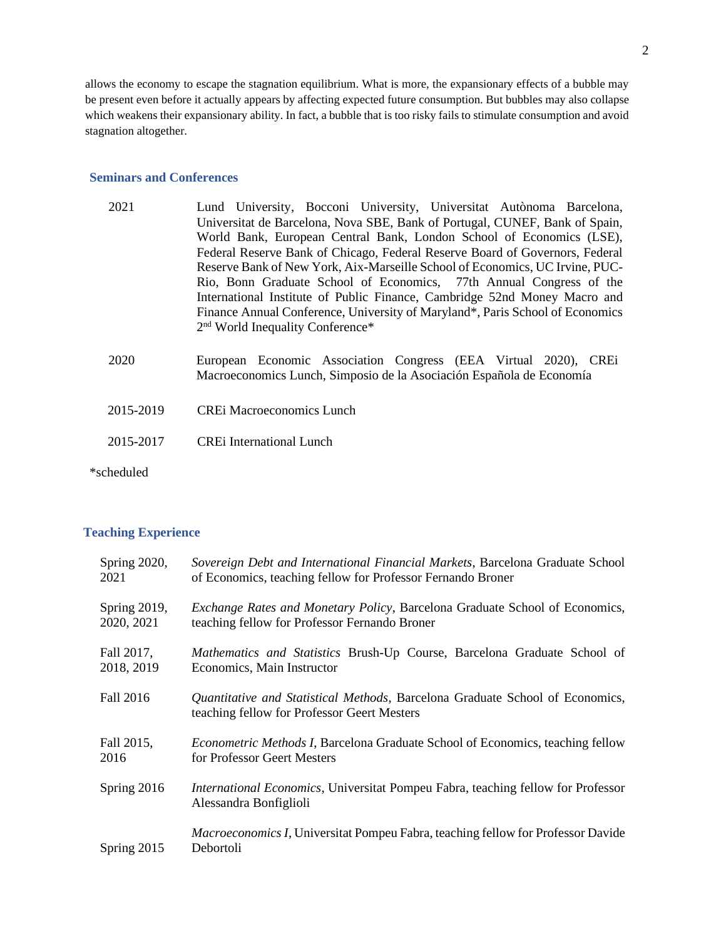allows the economy to escape the stagnation equilibrium. What is more, the expansionary effects of a bubble may be present even before it actually appears by affecting expected future consumption. But bubbles may also collapse which weakens their expansionary ability. In fact, a bubble that is too risky fails to stimulate consumption and avoid stagnation altogether.

### **Seminars and Conferences**

- 2021 Lund University, Bocconi University, Universitat Autònoma Barcelona, Universitat de Barcelona, Nova SBE, Bank of Portugal, CUNEF, Bank of Spain, World Bank, European Central Bank, London School of Economics (LSE), Federal Reserve Bank of Chicago, Federal Reserve Board of Governors, Federal Reserve Bank of New York, Aix-Marseille School of Economics, UC Irvine, PUC-Rio, Bonn Graduate School of Economics, 77th Annual Congress of the International Institute of Public Finance, Cambridge 52nd Money Macro and Finance Annual Conference, University of Maryland\*, Paris School of Economics 2<sup>nd</sup> World Inequality Conference\*
- 2020 European Economic Association Congress (EEA Virtual 2020), CREi Macroeconomics Lunch, Simposio de la Asociación Española de Economía
- 2015-2019 CREi Macroeconomics Lunch
- 2015-2017 CREi International Lunch
- \*scheduled

#### **Teaching Experience**

| Spring 2020, | Sovereign Debt and International Financial Markets, Barcelona Graduate School                                                       |
|--------------|-------------------------------------------------------------------------------------------------------------------------------------|
| 2021         | of Economics, teaching fellow for Professor Fernando Broner                                                                         |
| Spring 2019, | Exchange Rates and Monetary Policy, Barcelona Graduate School of Economics,                                                         |
| 2020, 2021   | teaching fellow for Professor Fernando Broner                                                                                       |
| Fall 2017,   | Mathematics and Statistics Brush-Up Course, Barcelona Graduate School of                                                            |
| 2018, 2019   | Economics, Main Instructor                                                                                                          |
| Fall 2016    | <i>Quantitative and Statistical Methods, Barcelona Graduate School of Economics,</i><br>teaching fellow for Professor Geert Mesters |
| Fall 2015,   | <i>Econometric Methods I</i> , Barcelona Graduate School of Economics, teaching fellow                                              |
| 2016         | for Professor Geert Mesters                                                                                                         |
| Spring 2016  | <i>International Economics</i> , Universitat Pompeu Fabra, teaching fellow for Professor<br>Alessandra Bonfiglioli                  |
| Spring 2015  | <i>Macroeconomics I</i> , Universitat Pompeu Fabra, teaching fellow for Professor Davide<br>Debortoli                               |